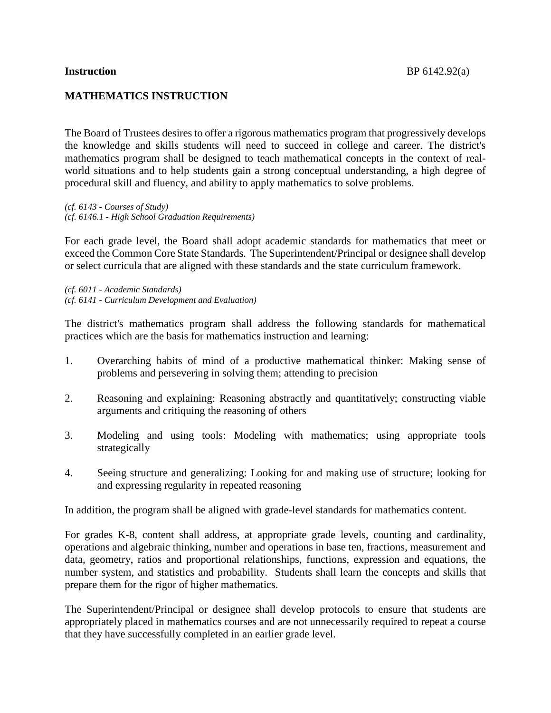## **MATHEMATICS INSTRUCTION**

The Board of Trustees desires to offer a rigorous mathematics program that progressively develops the knowledge and skills students will need to succeed in college and career. The district's mathematics program shall be designed to teach mathematical concepts in the context of realworld situations and to help students gain a strong conceptual understanding, a high degree of procedural skill and fluency, and ability to apply mathematics to solve problems.

*(cf. 6143 - Courses of Study) (cf. 6146.1 - High School Graduation Requirements)*

For each grade level, the Board shall adopt academic standards for mathematics that meet or exceed the Common Core State Standards. The Superintendent/Principal or designee shall develop or select curricula that are aligned with these standards and the state curriculum framework.

*(cf. 6011 - Academic Standards) (cf. 6141 - Curriculum Development and Evaluation)*

The district's mathematics program shall address the following standards for mathematical practices which are the basis for mathematics instruction and learning:

- 1. Overarching habits of mind of a productive mathematical thinker: Making sense of problems and persevering in solving them; attending to precision
- 2. Reasoning and explaining: Reasoning abstractly and quantitatively; constructing viable arguments and critiquing the reasoning of others
- 3. Modeling and using tools: Modeling with mathematics; using appropriate tools strategically
- 4. Seeing structure and generalizing: Looking for and making use of structure; looking for and expressing regularity in repeated reasoning

In addition, the program shall be aligned with grade-level standards for mathematics content.

For grades K-8, content shall address, at appropriate grade levels, counting and cardinality, operations and algebraic thinking, number and operations in base ten, fractions, measurement and data, geometry, ratios and proportional relationships, functions, expression and equations, the number system, and statistics and probability. Students shall learn the concepts and skills that prepare them for the rigor of higher mathematics.

The Superintendent/Principal or designee shall develop protocols to ensure that students are appropriately placed in mathematics courses and are not unnecessarily required to repeat a course that they have successfully completed in an earlier grade level.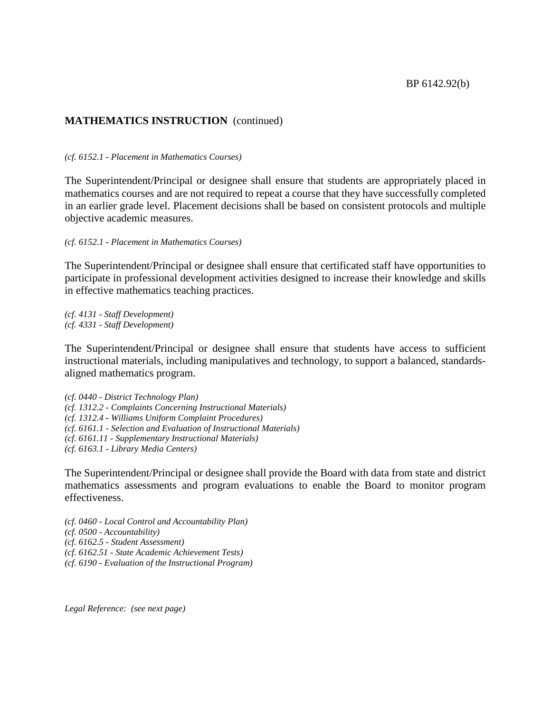## **MATHEMATICS INSTRUCTION** (continued)

*(cf. 6152.1 - Placement in Mathematics Courses)*

The Superintendent/Principal or designee shall ensure that students are appropriately placed in mathematics courses and are not required to repeat a course that they have successfully completed in an earlier grade level. Placement decisions shall be based on consistent protocols and multiple objective academic measures.

*(cf. 6152.1 - Placement in Mathematics Courses)*

The Superintendent/Principal or designee shall ensure that certificated staff have opportunities to participate in professional development activities designed to increase their knowledge and skills in effective mathematics teaching practices.

*(cf. 4131 - Staff Development) (cf. 4331 - Staff Development)*

The Superintendent/Principal or designee shall ensure that students have access to sufficient instructional materials, including manipulatives and technology, to support a balanced, standardsaligned mathematics program.

*(cf. 0440 - District Technology Plan) (cf. 1312.2 - Complaints Concerning Instructional Materials) (cf. 1312.4 - Williams Uniform Complaint Procedures) (cf. 6161.1 - Selection and Evaluation of Instructional Materials) (cf. 6161.11 - Supplementary Instructional Materials) (cf. 6163.1 - Library Media Centers)*

The Superintendent/Principal or designee shall provide the Board with data from state and district mathematics assessments and program evaluations to enable the Board to monitor program effectiveness.

*(cf. 0460 - Local Control and Accountability Plan) (cf. 0500 - Accountability) (cf. 6162.5 - Student Assessment) (cf. 6162.51 - State Academic Achievement Tests) (cf. 6190 - Evaluation of the Instructional Program)*

*Legal Reference: (see next page)*